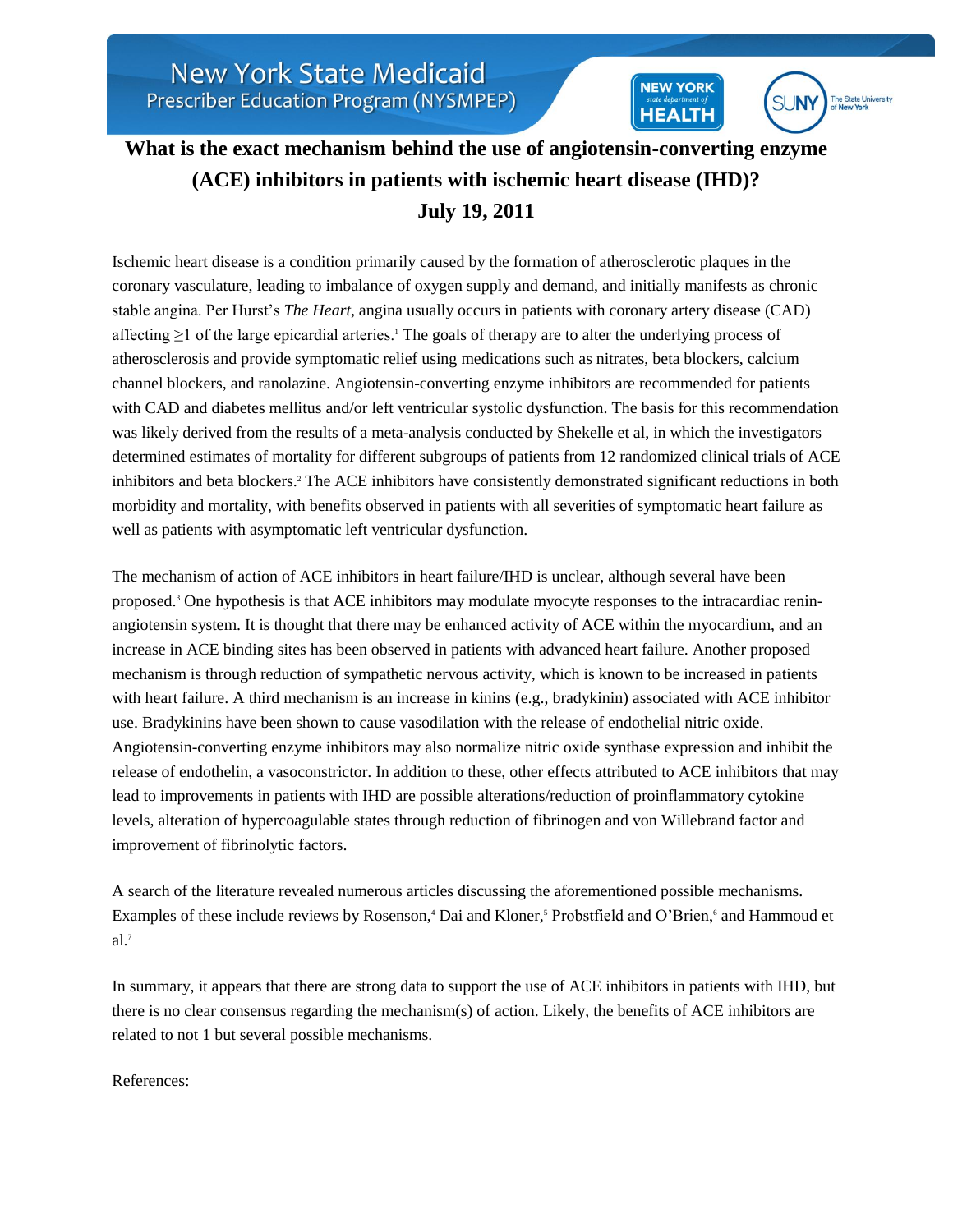## **What is the exact mechanism behind the use of angiotensin-converting enzyme (ACE) inhibitors in patients with ischemic heart disease (IHD)? July 19, 2011**

**NEW YORK** 

**HEALTH** 

**SUNY** 

The State University

Ischemic heart disease is a condition primarily caused by the formation of atherosclerotic plaques in the coronary vasculature, leading to imbalance of oxygen supply and demand, and initially manifests as chronic stable angina. Per Hurst's *The Heart*, angina usually occurs in patients with coronary artery disease (CAD) affecting  $\geq 1$  of the large epicardial arteries.<sup>1</sup> The goals of therapy are to alter the underlying process of atherosclerosis and provide symptomatic relief using medications such as nitrates, beta blockers, calcium channel blockers, and ranolazine. Angiotensin-converting enzyme inhibitors are recommended for patients with CAD and diabetes mellitus and/or left ventricular systolic dysfunction. The basis for this recommendation was likely derived from the results of a meta-analysis conducted by Shekelle et al, in which the investigators determined estimates of mortality for different subgroups of patients from 12 randomized clinical trials of ACE inhibitors and beta blockers.<sup>2</sup> The ACE inhibitors have consistently demonstrated significant reductions in both morbidity and mortality, with benefits observed in patients with all severities of symptomatic heart failure as well as patients with asymptomatic left ventricular dysfunction.

The mechanism of action of ACE inhibitors in heart failure/IHD is unclear, although several have been proposed.<sup>3</sup> One hypothesis is that ACE inhibitors may modulate myocyte responses to the intracardiac reninangiotensin system. It is thought that there may be enhanced activity of ACE within the myocardium, and an increase in ACE binding sites has been observed in patients with advanced heart failure. Another proposed mechanism is through reduction of sympathetic nervous activity, which is known to be increased in patients with heart failure. A third mechanism is an increase in kinins (e.g., bradykinin) associated with ACE inhibitor use. Bradykinins have been shown to cause vasodilation with the release of endothelial nitric oxide. Angiotensin-converting enzyme inhibitors may also normalize nitric oxide synthase expression and inhibit the release of endothelin, a vasoconstrictor. In addition to these, other effects attributed to ACE inhibitors that may lead to improvements in patients with IHD are possible alterations/reduction of proinflammatory cytokine levels, alteration of hypercoagulable states through reduction of fibrinogen and von Willebrand factor and improvement of fibrinolytic factors.

A search of the literature revealed numerous articles discussing the aforementioned possible mechanisms. Examples of these include reviews by Rosenson,<sup>4</sup> Dai and Kloner,<sup>5</sup> Probstfield and O'Brien,<sup>6</sup> and Hammoud et  $al.7$ 

In summary, it appears that there are strong data to support the use of ACE inhibitors in patients with IHD, but there is no clear consensus regarding the mechanism(s) of action. Likely, the benefits of ACE inhibitors are related to not 1 but several possible mechanisms.

References: